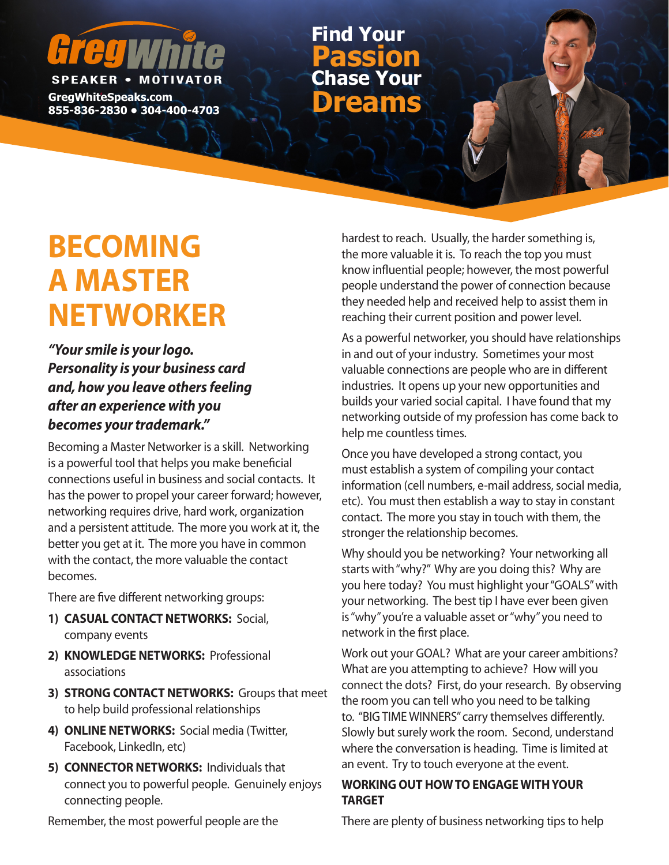# **SPEAKER • MOTIV**

**GregWhiteSpeaks.com**

**855-836-2830 • 304-400-4703 Dreams Chase Your Passion Find Your**

# **BECOMING A MASTER NETWORKER**

*"Your smile is your logo. Personality is your business card and, how you leave others feeling after an experience with you becomes your trademark."*

Becoming a Master Networker is a skill. Networking is a powerful tool that helps you make beneficial connections useful in business and social contacts. It has the power to propel your career forward; however, networking requires drive, hard work, organization and a persistent attitude. The more you work at it, the better you get at it. The more you have in common with the contact, the more valuable the contact becomes.

There are five different networking groups:

- **1) CASUAL CONTACT NETWORKS:** Social, company events
- **2) KNOWLEDGE NETWORKS:** Professional associations
- **3) STRONG CONTACT NETWORKS:** Groups that meet to help build professional relationships
- **4) ONLINE NETWORKS:** Social media (Twitter, Facebook, LinkedIn, etc)
- **5) CONNECTOR NETWORKS:** Individuals that connect you to powerful people. Genuinely enjoys connecting people.

hardest to reach. Usually, the harder something is, the more valuable it is. To reach the top you must know influential people; however, the most powerful people understand the power of connection because they needed help and received help to assist them in reaching their current position and power level.

As a powerful networker, you should have relationships in and out of your industry. Sometimes your most valuable connections are people who are in different industries. It opens up your new opportunities and builds your varied social capital. I have found that my networking outside of my profession has come back to help me countless times.

Once you have developed a strong contact, you must establish a system of compiling your contact information (cell numbers, e-mail address, social media, etc). You must then establish a way to stay in constant contact. The more you stay in touch with them, the stronger the relationship becomes.

Why should you be networking? Your networking all starts with "why?" Why are you doing this? Why are you here today? You must highlight your "GOALS" with your networking. The best tip I have ever been given is "why" you're a valuable asset or "why" you need to network in the first place.

Work out your GOAL? What are your career ambitions? What are you attempting to achieve? How will you connect the dots? First, do your research. By observing the room you can tell who you need to be talking to. "BIG TIME WINNERS" carry themselves differently. Slowly but surely work the room. Second, understand where the conversation is heading. Time is limited at an event. Try to touch everyone at the event.

## **WORKING OUT HOW TO ENGAGE WITH YOUR TARGET**

Remember, the most powerful people are the

There are plenty of business networking tips to help